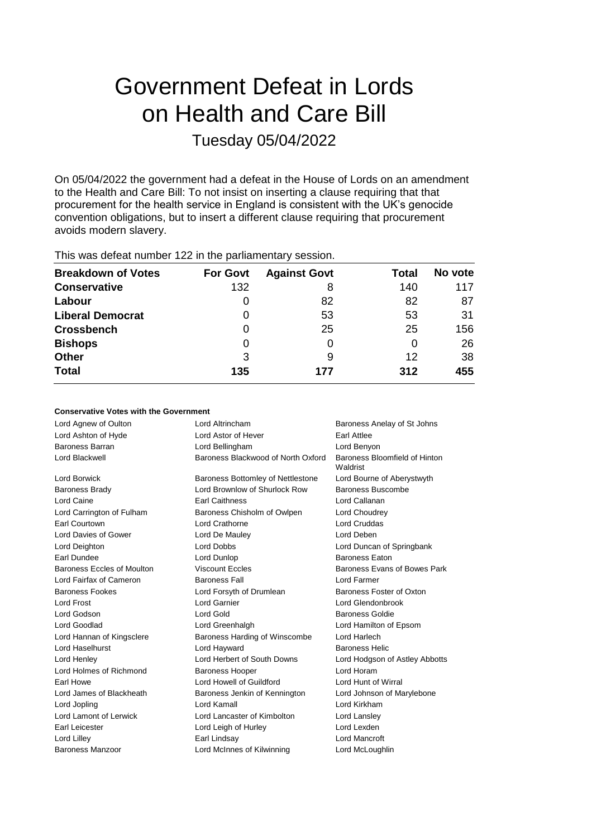# Government Defeat in Lords on Health and Care Bill Tuesday 05/04/2022

On 05/04/2022 the government had a defeat in the House of Lords on an amendment to the Health and Care Bill: To not insist on inserting a clause requiring that that procurement for the health service in England is consistent with the UK's genocide convention obligations, but to insert a different clause requiring that procurement avoids modern slavery.

| <b>Breakdown of Votes</b> | <b>For Govt</b> | <b>Against Govt</b> | Total | No vote |
|---------------------------|-----------------|---------------------|-------|---------|
| <b>Conservative</b>       | 132             | 8                   | 140   | 117     |
| Labour                    | $\Omega$        | 82                  | 82    | 87      |
| <b>Liberal Democrat</b>   | $\Omega$        | 53                  | 53    | 31      |
| <b>Crossbench</b>         | 0               | 25                  | 25    | 156     |
| <b>Bishops</b>            | 0               | 0                   | O     | 26      |
| <b>Other</b>              | 3               | 9                   | 12    | 38      |
| <b>Total</b>              | 135             | 177                 | 312   | 455     |
|                           |                 |                     |       |         |

This was defeat number 122 in the parliamentary session.

### **Conservative Votes with the Government**

| Lord Agnew of Oulton              | Lord Altrincham                    | Baroness Anelay of St Johns               |
|-----------------------------------|------------------------------------|-------------------------------------------|
| Lord Ashton of Hyde               | Lord Astor of Hever                | Earl Attlee                               |
| Baroness Barran                   | Lord Bellingham                    | Lord Benyon                               |
| Lord Blackwell                    | Baroness Blackwood of North Oxford | Baroness Bloomfield of Hinton<br>Waldrist |
| Lord Borwick                      | Baroness Bottomley of Nettlestone  | Lord Bourne of Aberystwyth                |
| <b>Baroness Brady</b>             | Lord Brownlow of Shurlock Row      | Baroness Buscombe                         |
| Lord Caine                        | <b>Earl Caithness</b>              | Lord Callanan                             |
| Lord Carrington of Fulham         | Baroness Chisholm of Owlpen        | Lord Choudrey                             |
| Earl Courtown                     | Lord Crathorne                     | <b>Lord Cruddas</b>                       |
| Lord Davies of Gower              | Lord De Mauley                     | Lord Deben                                |
| Lord Deighton                     | <b>Lord Dobbs</b>                  | Lord Duncan of Springbank                 |
| Earl Dundee                       | Lord Dunlop                        | <b>Baroness Eaton</b>                     |
| <b>Baroness Eccles of Moulton</b> | <b>Viscount Eccles</b>             | Baroness Evans of Bowes Park              |
| Lord Fairfax of Cameron           | <b>Baroness Fall</b>               | Lord Farmer                               |
| <b>Baroness Fookes</b>            | Lord Forsyth of Drumlean           | Baroness Foster of Oxton                  |
| Lord Frost                        | Lord Garnier                       | Lord Glendonbrook                         |
| Lord Godson                       | Lord Gold                          | Baroness Goldie                           |
| Lord Goodlad                      | Lord Greenhalgh                    | Lord Hamilton of Epsom                    |
| Lord Hannan of Kingsclere         | Baroness Harding of Winscombe      | Lord Harlech                              |
| Lord Haselhurst                   | Lord Hayward                       | <b>Baroness Helic</b>                     |
| Lord Henley                       | Lord Herbert of South Downs        | Lord Hodgson of Astley Abbotts            |
| Lord Holmes of Richmond           | <b>Baroness Hooper</b>             | Lord Horam                                |
| Farl Howe                         | Lord Howell of Guildford           | Lord Hunt of Wirral                       |
| Lord James of Blackheath          | Baroness Jenkin of Kennington      | Lord Johnson of Marylebone                |
| Lord Jopling                      | Lord Kamall                        | Lord Kirkham                              |
| Lord Lamont of Lerwick            | Lord Lancaster of Kimbolton        | Lord Lansley                              |
| Earl Leicester                    | Lord Leigh of Hurley               | Lord Lexden                               |
| Lord Lilley                       | Earl Lindsay                       | Lord Mancroft                             |
| Baroness Manzoor                  | Lord McInnes of Kilwinning         | Lord McLoughlin                           |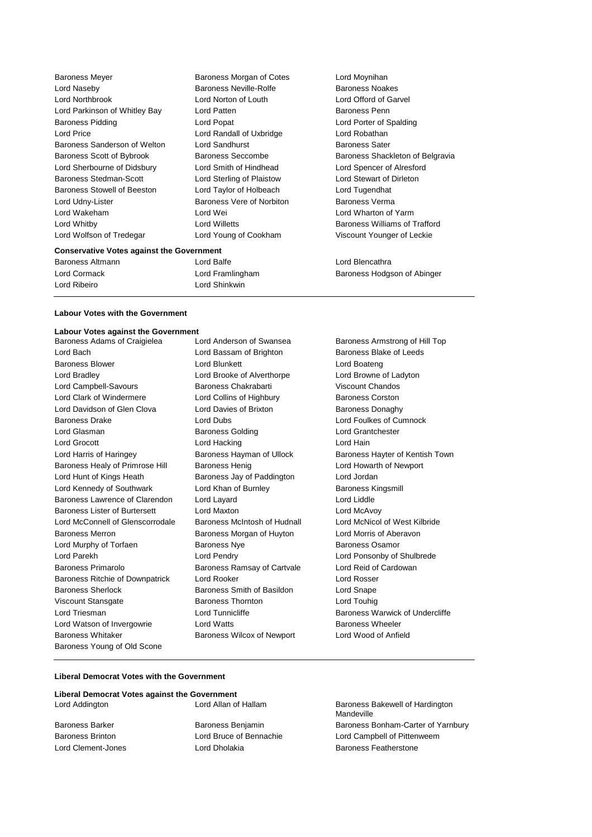| <b>Baroness Meyer</b>                            | Baroness Morgan of Cotes  | Lord Moynihan                    |
|--------------------------------------------------|---------------------------|----------------------------------|
| Lord Naseby                                      | Baroness Neville-Rolfe    | <b>Baroness Noakes</b>           |
| Lord Northbrook                                  | Lord Norton of Louth      | Lord Offord of Garvel            |
| Lord Parkinson of Whitley Bay                    | Lord Patten               | Baroness Penn                    |
| <b>Baroness Pidding</b>                          | Lord Popat                | Lord Porter of Spalding          |
| Lord Price                                       | Lord Randall of Uxbridge  | Lord Robathan                    |
| Baroness Sanderson of Welton                     | Lord Sandhurst            | <b>Baroness Sater</b>            |
| Baroness Scott of Bybrook                        | <b>Baroness Seccombe</b>  | Baroness Shackleton of Belgravia |
| Lord Sherbourne of Didsbury                      | Lord Smith of Hindhead    | Lord Spencer of Alresford        |
| Baroness Stedman-Scott                           | Lord Sterling of Plaistow | Lord Stewart of Dirleton         |
| Baroness Stowell of Beeston                      | Lord Taylor of Holbeach   | Lord Tugendhat                   |
| Lord Udny-Lister                                 | Baroness Vere of Norbiton | Baroness Verma                   |
| Lord Wakeham                                     | Lord Wei                  | Lord Wharton of Yarm             |
| Lord Whitby                                      | Lord Willetts             | Baroness Williams of Trafford    |
| Lord Wolfson of Tredegar                         | Lord Young of Cookham     | Viscount Younger of Leckie       |
| <b>Conservative Votes against the Government</b> |                           |                                  |
| Baroness Altmann                                 | Lord Balfe                | Lord Blencathra                  |

Lord Cormack Lord Framlingham Baroness Hodgson of Abinger Lord Ribeiro Lord Shinkwin

#### **Labour Votes with the Government**

## **Labour Votes against the Government**

Lord Bach **Lord Bassam of Brighton** Baroness Blake of Leeds Baroness Blower **Lord Blunkett** Lord Boateng Lord Boateng Lord Bradley Lord Brooke of Alverthorpe Lord Browne of Ladyton Lord Campbell-Savours Baroness Chakrabarti Viscount Chandos Lord Clark of Windermere Lord Collins of Highbury Baroness Corston Lord Davidson of Glen Clova Lord Davies of Brixton Baroness Donaghy Baroness Drake Lord Dubs Lord Foulkes of Cumnock Lord Glasman Baroness Golding Lord Grantchester Lord Grocott **Lord Hacking** Lord Hacking **Lord Hain** Lord Harris of Haringey **Baroness Hayman of Ullock** Baroness Hayter of Kentish Town Baroness Healy of Primrose Hill Baroness Henig Lord Howarth of Newport Lord Hunt of Kings Heath Baroness Jay of Paddington Lord Jordan Lord Kennedy of Southwark Lord Khan of Burnley Baroness Kingsmill Baroness Lawrence of Clarendon Lord Layard Lord Lord Lord Liddle Baroness Lister of Burtersett Lord Maxton Lord McAvoy Lord McConnell of Glenscorrodale Baroness McIntosh of Hudnall Lord McNicol of West Kilbride Baroness Merron **Baroness Morgan of Huyton** Lord Morris of Aberavon Lord Murphy of Torfaen **Baroness Nye** Baroness Nye Baroness Osamor Lord Parekh Lord Pendry Lord Ponsonby of Shulbrede Baroness Primarolo **Baroness Ramsay of Cartvale** Lord Reid of Cardowan Baroness Ritchie of Downpatrick Lord Rooker Lord Rosser Baroness Sherlock **Baroness Smith of Basildon** Lord Snape Viscount Stansgate Baroness Thornton Lord Touhig Lord Triesman **Lord Tunnicliffe** Baroness Warwick of Undercliffe Lord Watson of Invergowrie **Lord Watts Example 2** Lord Watts **Baroness Wheeler** Baroness Whitaker Baroness Wilcox of Newport Lord Wood of Anfield Baroness Young of Old Scone

Baroness Armstrong of Hill Top

#### **Liberal Democrat Votes with the Government**

| Liberal Democrat Votes against the Government |                     |
|-----------------------------------------------|---------------------|
| Lord Addington                                | Lord Allan of Halla |

am Baroness Bakewell of Hardington Mandeville Baroness Barker **Baroness Benjamin** Baroness Baroness Bonham-Carter of Yarnbury Baroness Brinton Lord Bruce of Bennachie Lord Campbell of Pittenweem Lord Clement-Jones **Lord Dholakia** Baroness Featherstone